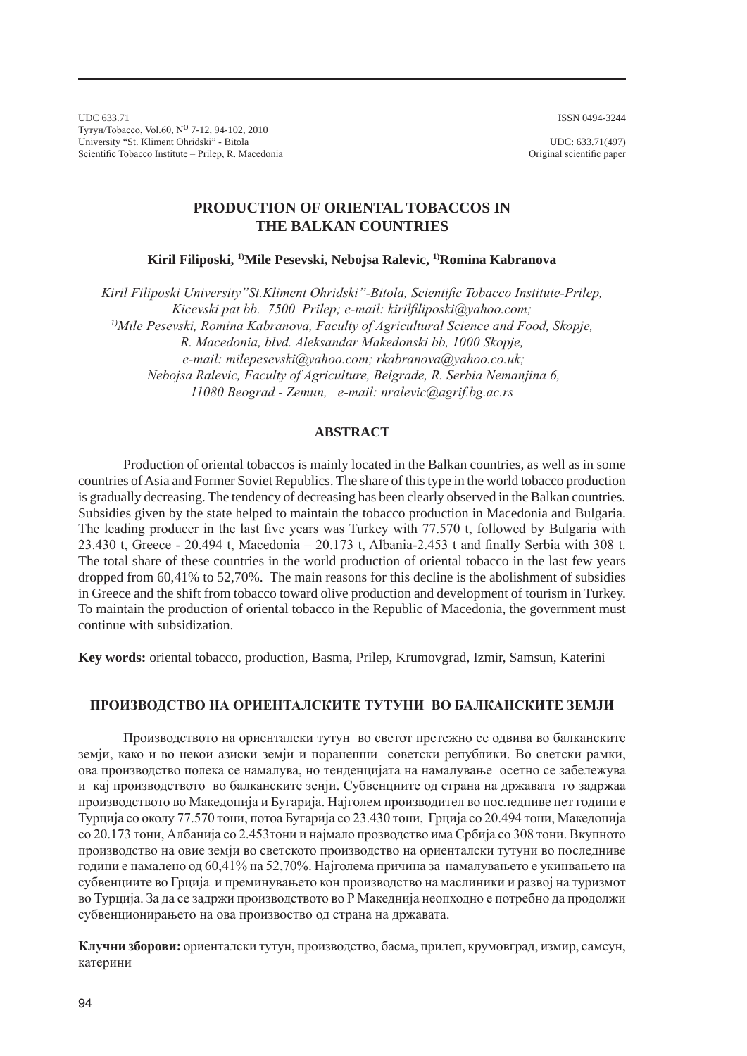ISSN 0494-3244

UDC 633.71 Тутун/Tobacco, Vol.60, Nº 7-12, 94-102, 2010 University "St. Kliment Ohridski" - Bitola Scientific Tobacco Institute – Prilep, R. Macedonia

UDC: 633.71(497) Original scientific paper

# **PRODUCTION OF ORIENTAL TOBACCOS IN THE BALKAN COUNTRIES**

**Kiril Filiposki, 1)Mile Pesevski, Nebojsa Ralevic, 1)Romina Kabranova**

*Kiril Filiposki University"St.Kliment Ohridski"-Bitola, Scientific Tobacco Institute-Prilep, Kicevski pat bb. 7500 Prilep; e-mail: kirilfiliposki@yahoo.com; 1)Mile Pesevski, Romina Kabranova, Faculty of Agricultural Science and Food, Skopje, R. Macedonia, blvd. Aleksandar Makedonski bb, 1000 Skopje, e-mail: milepesevski@yahoo.com; rkabranova@yahoo.co.uk; Nebojsa Ralevic, Faculty of Agriculture, Belgrade, R. Serbia Nemanjina 6, 11080 Beograd - Zemun, e-mail: nralevic@agrif.bg.ac.rs*

## **ABSTRACT**

Production of oriental tobaccos is mainly located in the Balkan countries, as well as in some countries of Asia and Former Soviet Republics. The share of this type in the world tobacco production is gradually decreasing. The tendency of decreasing has been clearly observed in the Balkan countries. Subsidies given by the state helped to maintain the tobacco production in Macedonia and Bulgaria. The leading producer in the last five years was Turkey with 77.570 t, followed by Bulgaria with 23.430 t, Greece - 20.494 t, Macedonia – 20.173 t, Albania-2.453 t and finally Serbia with 308 t. The total share of these countries in the world production of oriental tobacco in the last few years dropped from 60,41% to 52,70%. The main reasons for this decline is the abolishment of subsidies in Greece and the shift from tobacco toward olive production and development of tourism in Turkey. To maintain the production of oriental tobacco in the Republic of Macedonia, the government must continue with subsidization.

**Key words:** oriental tobacco, production, Basma, Prilep, Krumovgrad, Izmir, Samsun, Katerini

## **ПРОИЗВОДСТВО НА ОРИЕНТАЛСКИТЕ ТУТУНИ ВО БАЛКАНСКИТЕ ЗЕМЈИ**

Производството на ориенталски тутун во светот претежно се одвива во балканските земји, како и во некои азиски земји и поранешни советски републики. Во светски рамки, ова производство полека се намалува, но тенденцијата на намалување осетно се забележува и кај производството во балканските зенји. Субвенциите од страна на државата го задржаа производството во Македонија и Бугарија. Најголем производител во последниве пет години е Турција со околу 77.570 тони, потоа Бугарија со 23.430 тони, Грција со 20.494 тони, Македонија со 20.173 тони, Албанија со 2.453тони и најмало прозводство има Србија со 308 тони. Вкупното производство на овие земји во светското производство на ориенталски тутуни во последниве години е намалено од 60,41% на 52,70%. Најголема причина за намалувањето е укинвањето на субвенциите во Грција и преминувањето кон производство на маслиники и развој на туризмот во Турција. За да се задржи производството во Р Македнија неопходно е потребно да продолжи субвенционирањето на ова произвоство од страна на државата.

**Клучни зборови:** ориенталски тутун, производство, басма, прилеп, крумовград, измир, самсун, катерини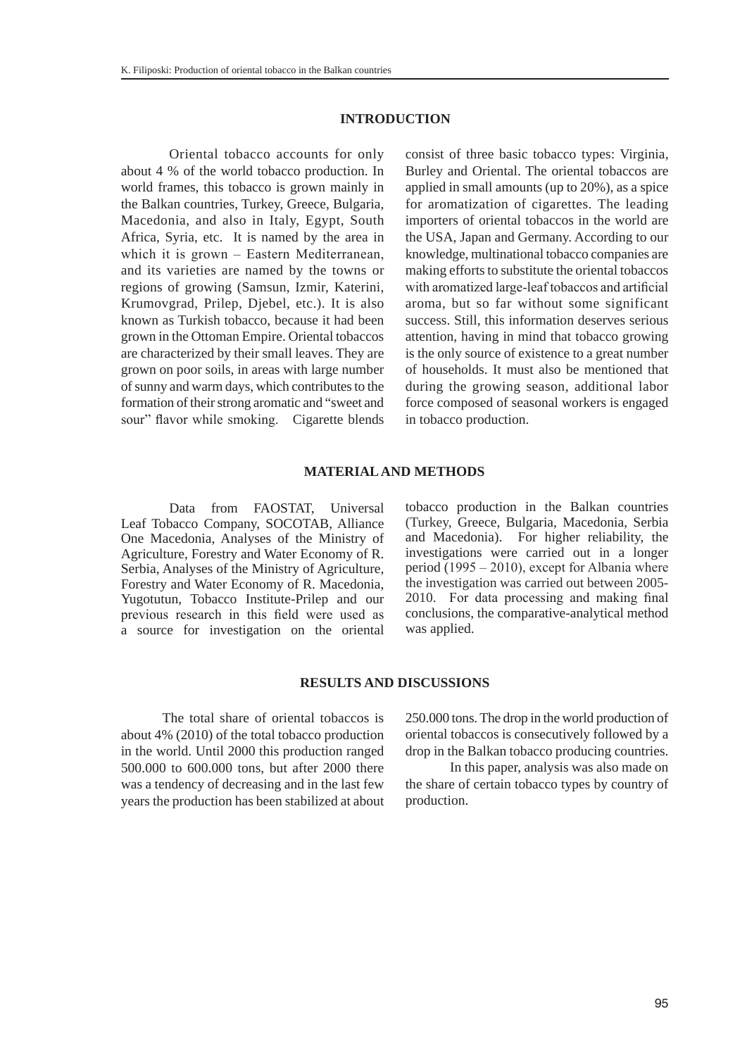#### **INTRODUCTION**

Oriental tobacco accounts for only about 4 % of the world tobacco production. In world frames, this tobacco is grown mainly in the Balkan countries, Turkey, Greece, Bulgaria, Macedonia, and also in Italy, Egypt, South Africa, Syria, etc. It is named by the area in which it is grown – Eastern Mediterranean, and its varieties are named by the towns or regions of growing (Samsun, Izmir, Katerini, Krumovgrad, Prilep, Djebel, etc.). It is also known as Turkish tobacco, because it had been grown in the Ottoman Empire. Oriental tobaccos are characterized by their small leaves. They are grown on poor soils, in areas with large number of sunny and warm days, which contributes to the formation of their strong aromatic and "sweet and sour" flavor while smoking. Cigarette blends consist of three basic tobacco types: Virginia, Burley and Oriental. The oriental tobaccos are applied in small amounts (up to 20%), as a spice for aromatization of cigarettes. The leading importers of oriental tobaccos in the world are the USA, Japan and Germany. According to our knowledge, multinational tobacco companies are making efforts to substitute the oriental tobaccos with aromatized large-leaf tobaccos and artificial aroma, but so far without some significant success. Still, this information deserves serious attention, having in mind that tobacco growing is the only source of existence to a great number of households. It must also be mentioned that during the growing season, additional labor force composed of seasonal workers is engaged in tobacco production.

### **MATERIAL AND METHODS**

Data from FAOSTAT, Universal Leaf Tobacco Company, SOCOTAB, Alliance One Macedonia, Analyses of the Ministry of Agriculture, Forestry and Water Economy of R. Serbia, Analyses of the Ministry of Agriculture, Forestry and Water Economy of R. Macedonia, Yugotutun, Tobacco Institute-Prilep and our previous research in this field were used as a source for investigation on the oriental

tobacco production in the Balkan countries (Turkey, Greece, Bulgaria, Macedonia, Serbia and Macedonia). For higher reliability, the investigations were carried out in a longer period (1995 – 2010), except for Albania where the investigation was carried out between 2005- 2010. For data processing and making final conclusions, the comparative-analytical method was applied.

#### **RESULTS AND DISCUSSIONS**

The total share of oriental tobaccos is about 4% (2010) of the total tobacco production in the world. Until 2000 this production ranged 500.000 to 600.000 tons, but after 2000 there was a tendency of decreasing and in the last few years the production has been stabilized at about

250.000 tons. The drop in the world production of oriental tobaccos is consecutively followed by a drop in the Balkan tobacco producing countries.

 In this paper, analysis was also made on the share of certain tobacco types by country of production.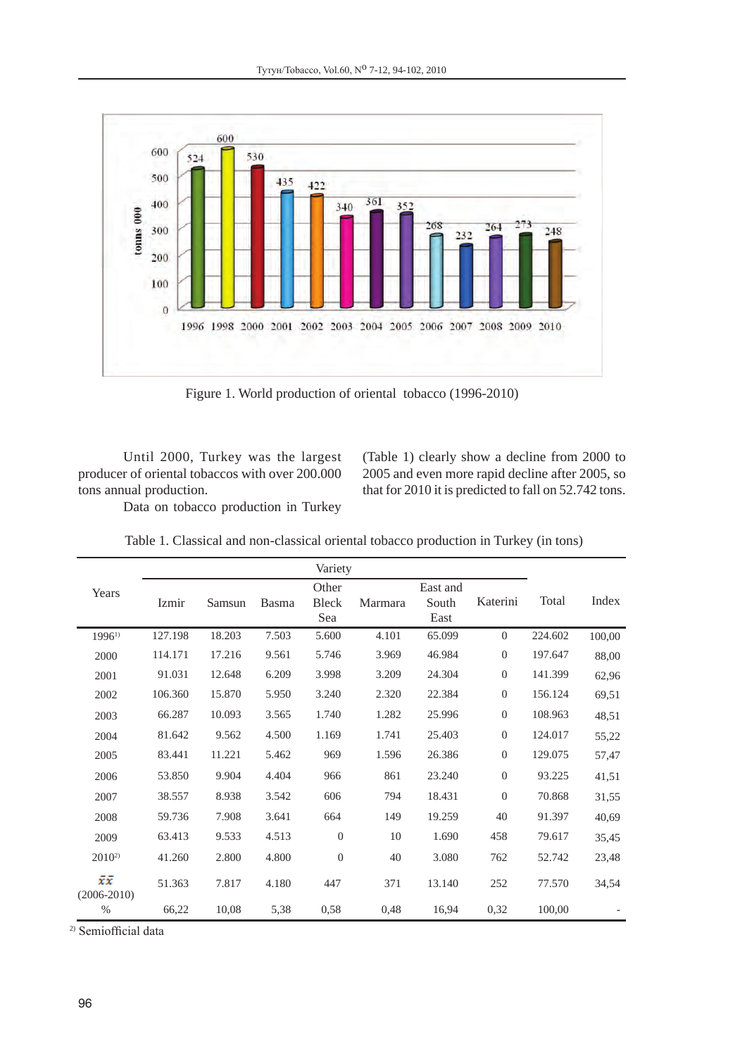

Figure 1. World production of oriental tobacco (1996-2010)

Until 2000, Turkey was the largest producer of oriental tobaccos with over 200.000 tons annual production.

(Table 1) clearly show a decline from 2000 to 2005 and even more rapid decline after 2005, so that for 2010 it is predicted to fall on 52.742 tons.

Data on tobacco production in Turkey

|                       |         |        |              | Variety               |         |                           |                  |         |        |
|-----------------------|---------|--------|--------------|-----------------------|---------|---------------------------|------------------|---------|--------|
| Years                 | Izmir   | Samsun | <b>Basma</b> | Other<br>Bleck<br>Sea | Marmara | East and<br>South<br>East | Katerini         | Total   | Index  |
| $1996^{1}$            | 127.198 | 18.203 | 7.503        | 5.600                 | 4.101   | 65.099                    | $\overline{0}$   | 224.602 | 100,00 |
| 2000                  | 114.171 | 17.216 | 9.561        | 5.746                 | 3.969   | 46.984                    | $\mathbf{0}$     | 197.647 | 88,00  |
| 2001                  | 91.031  | 12.648 | 6.209        | 3.998                 | 3.209   | 24.304                    | $\mathbf{0}$     | 141.399 | 62,96  |
| 2002                  | 106.360 | 15.870 | 5.950        | 3.240                 | 2.320   | 22.384                    | $\mathbf{0}$     | 156.124 | 69,51  |
| 2003                  | 66.287  | 10.093 | 3.565        | 1.740                 | 1.282   | 25.996                    | $\theta$         | 108.963 | 48,51  |
| 2004                  | 81.642  | 9.562  | 4.500        | 1.169                 | 1.741   | 25.403                    | $\boldsymbol{0}$ | 124.017 | 55,22  |
| 2005                  | 83.441  | 11.221 | 5.462        | 969                   | 1.596   | 26.386                    | $\boldsymbol{0}$ | 129.075 | 57,47  |
| 2006                  | 53.850  | 9.904  | 4.404        | 966                   | 861     | 23.240                    | $\mathbf{0}$     | 93.225  | 41,51  |
| 2007                  | 38.557  | 8.938  | 3.542        | 606                   | 794     | 18.431                    | $\boldsymbol{0}$ | 70.868  | 31,55  |
| 2008                  | 59.736  | 7.908  | 3.641        | 664                   | 149     | 19.259                    | 40               | 91.397  | 40,69  |
| 2009                  | 63.413  | 9.533  | 4.513        | $\theta$              | 10      | 1.690                     | 458              | 79.617  | 35,45  |
| $2010^{2}$            | 41.260  | 2.800  | 4.800        | $\theta$              | 40      | 3.080                     | 762              | 52.742  | 23,48  |
| žž<br>$(2006 - 2010)$ | 51.363  | 7.817  | 4.180        | 447                   | 371     | 13.140                    | 252              | 77.570  | 34,54  |
| %                     | 66,22   | 10,08  | 5,38         | 0,58                  | 0,48    | 16,94                     | 0,32             | 100,00  |        |

Table 1. Classical and non-classical oriental tobacco production in Turkey (in tons)

2) Semiofficial data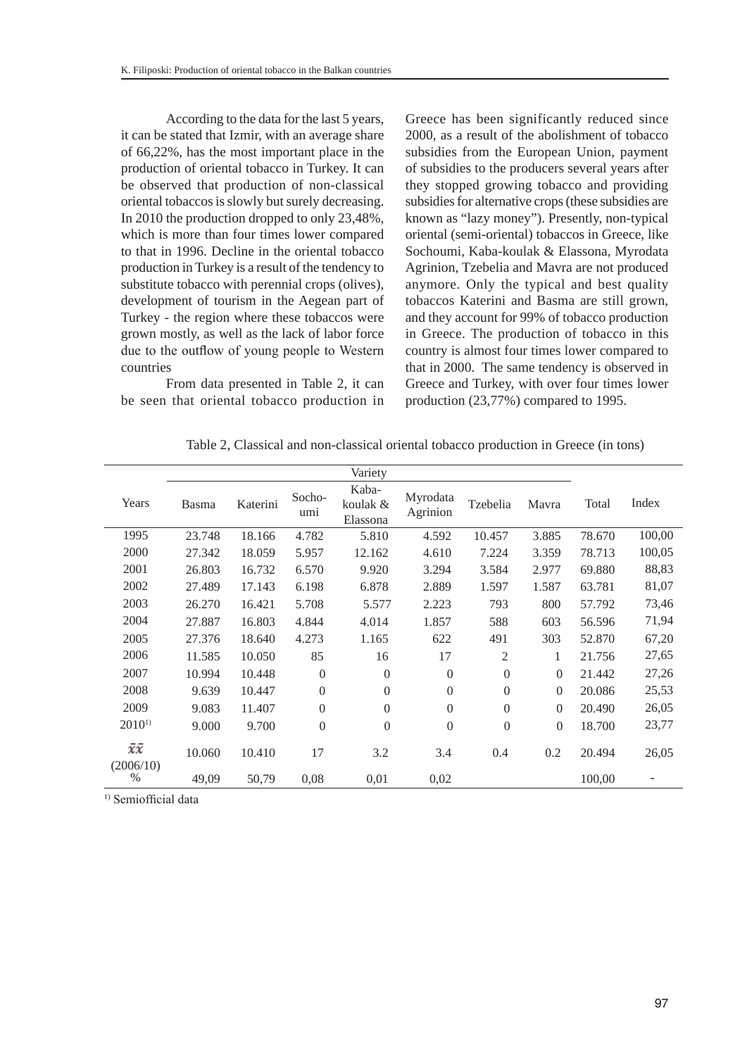According to the data for the last 5 years, it can be stated that Izmir, with an average share of 66,22%, has the most important place in the production of oriental tobacco in Turkey. It can be observed that production of non-classical oriental tobaccos is slowly but surely decreasing. In 2010 the production dropped to only 23,48%, which is more than four times lower compared to that in 1996. Decline in the oriental tobacco production in Turkey is a result of the tendency to substitute tobacco with perennial crops (olives), development of tourism in the Aegean part of Turkey - the region where these tobaccos were grown mostly, as well as the lack of labor force due to the outflow of young people to Western countries

From data presented in Table 2, it can be seen that oriental tobacco production in Greece has been significantly reduced since 2000, as a result of the abolishment of tobacco subsidies from the European Union, payment of subsidies to the producers several years after they stopped growing tobacco and providing subsidies for alternative crops (these subsidies are known as "lazy money"). Presently, non-typical oriental (semi-oriental) tobaccos in Greece, like Sochoumi, Kaba-koulak & Elassona, Myrodata Agrinion, Tzebelia and Mavra are not produced anymore. Only the typical and best quality tobaccos Katerini and Basma are still grown, and they account for 99% of tobacco production in Greece. The production of tobacco in this country is almost four times lower compared to that in 2000. The same tendency is observed in Greece and Turkey, with over four times lower production (23,77%) compared to 1995.

|                 |        |          |                  | Variety                       |                      |                |              |        |        |
|-----------------|--------|----------|------------------|-------------------------------|----------------------|----------------|--------------|--------|--------|
| Years           | Basma  | Katerini | Socho-<br>umi    | Kaba-<br>koulak &<br>Elassona | Myrodata<br>Agrinion | Tzebelia       | Mavra        | Total  | Index  |
| 1995            | 23.748 | 18.166   | 4.782            | 5.810                         | 4.592                | 10.457         | 3.885        | 78.670 | 100,00 |
| 2000            | 27.342 | 18.059   | 5.957            | 12.162                        | 4.610                | 7.224          | 3.359        | 78.713 | 100,05 |
| 2001            | 26.803 | 16.732   | 6.570            | 9.920                         | 3.294                | 3.584          | 2.977        | 69.880 | 88,83  |
| 2002            | 27.489 | 17.143   | 6.198            | 6.878                         | 2.889                | 1.597          | 1.587        | 63.781 | 81,07  |
| 2003            | 26.270 | 16.421   | 5.708            | 5.577                         | 2.223                | 793            | 800          | 57.792 | 73,46  |
| 2004            | 27.887 | 16.803   | 4.844            | 4.014                         | 1.857                | 588            | 603          | 56.596 | 71,94  |
| 2005            | 27.376 | 18.640   | 4.273            | 1.165                         | 622                  | 491            | 303          | 52.870 | 67,20  |
| 2006            | 11.585 | 10.050   | 85               | 16                            | 17                   | 2              | 1            | 21.756 | 27,65  |
| 2007            | 10.994 | 10.448   | $\mathbf{0}$     | $\overline{0}$                | $\Omega$             | $\overline{0}$ | $\Omega$     | 21.442 | 27,26  |
| 2008            | 9.639  | 10.447   | $\boldsymbol{0}$ | $\theta$                      | $\Omega$             | $\mathbf{0}$   | $\Omega$     | 20.086 | 25,53  |
| 2009            | 9.083  | 11.407   | $\overline{0}$   | $\theta$                      | $\Omega$             | $\overline{0}$ | $\Omega$     | 20.490 | 26,05  |
| $2010^{1}$      | 9.000  | 9.700    | $\boldsymbol{0}$ | $\theta$                      | $\boldsymbol{0}$     | $\mathbf{0}$   | $\mathbf{0}$ | 18.700 | 23,77  |
| χī<br>(2006/10) | 10.060 | 10.410   | 17               | 3.2                           | 3.4                  | 0.4            | 0.2          | 20.494 | 26,05  |
| $\%$            | 49,09  | 50,79    | 0,08             | 0,01                          | 0,02                 |                |              | 100,00 |        |

Table 2, Classical and non-classical oriental tobacco production in Greece (in tons)

<sup>1)</sup> Semiofficial data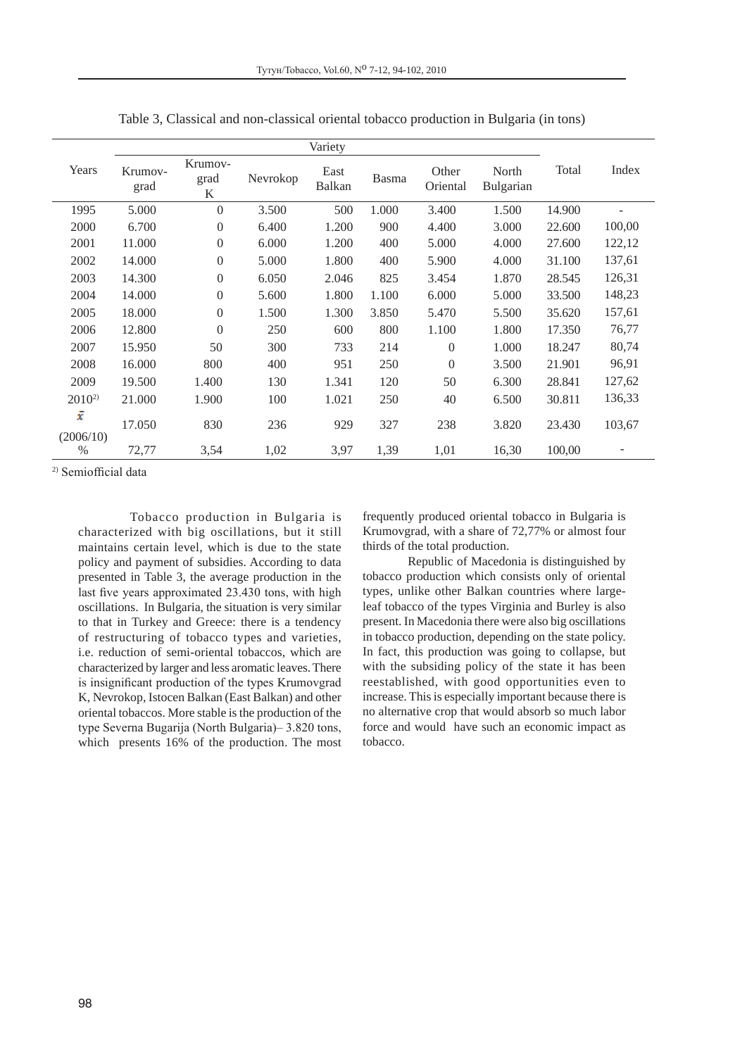| Years          | Krumov-<br>grad | Krumov-<br>grad<br>K | Nevrokop | East<br>Balkan | Basma | Other<br>Oriental | North<br>Bulgarian | Total  | Index          |
|----------------|-----------------|----------------------|----------|----------------|-------|-------------------|--------------------|--------|----------------|
| 1995           | 5.000           | $\overline{0}$       | 3.500    | 500            | 1.000 | 3.400             | 1.500              | 14.900 |                |
| 2000           | 6.700           | $\mathbf{0}$         | 6.400    | 1.200          | 900   | 4.400             | 3.000              | 22.600 | 100,00         |
| 2001           | 11.000          | $\mathbf{0}$         | 6.000    | 1.200          | 400   | 5.000             | 4.000              | 27.600 | 122,12         |
| 2002           | 14.000          | $\overline{0}$       | 5.000    | 1.800          | 400   | 5.900             | 4.000              | 31.100 | 137,61         |
| 2003           | 14.300          | $\overline{0}$       | 6.050    | 2.046          | 825   | 3.454             | 1.870              | 28.545 | 126,31         |
| 2004           | 14.000          | $\overline{0}$       | 5.600    | 1.800          | 1.100 | 6.000             | 5.000              | 33.500 | 148,23         |
| 2005           | 18.000          | $\overline{0}$       | 1.500    | 1.300          | 3.850 | 5.470             | 5.500              | 35.620 | 157,61         |
| 2006           | 12.800          | $\Omega$             | 250      | 600            | 800   | 1.100             | 1.800              | 17.350 | 76,77          |
| 2007           | 15.950          | 50                   | 300      | 733            | 214   | $\overline{0}$    | 1.000              | 18.247 | 80,74          |
| 2008           | 16.000          | 800                  | 400      | 951            | 250   | $\overline{0}$    | 3.500              | 21.901 | 96,91          |
| 2009           | 19.500          | 1.400                | 130      | 1.341          | 120   | 50                | 6.300              | 28.841 | 127,62         |
| $2010^{2}$     | 21.000          | 1.900                | 100      | 1.021          | 250   | 40                | 6.500              | 30.811 | 136,33         |
| ī<br>(2006/10) | 17.050          | 830                  | 236      | 929            | 327   | 238               | 3.820              | 23.430 | 103,67         |
| $\%$           | 72,77           | 3,54                 | 1,02     | 3,97           | 1,39  | 1,01              | 16,30              | 100,00 | $\overline{a}$ |

Table 3, Classical and non-classical oriental tobacco production in Bulgaria (in tons)

2) Semiofficial data

Tobacco production in Bulgaria is characterized with big oscillations, but it still maintains certain level, which is due to the state policy and payment of subsidies. According to data presented in Table 3, the average production in the last five years approximated 23.430 tons, with high oscillations. In Bulgaria, the situation is very similar to that in Turkey and Greece: there is a tendency of restructuring of tobacco types and varieties, i.e. reduction of semi-oriental tobaccos, which are characterized by larger and less aromatic leaves. There is insignificant production of the types Krumovgrad K, Nevrokop, Istocen Balkan (East Balkan) and other oriental tobaccos. More stable is the production of the type Severna Bugarija (North Bulgaria)– 3.820 tons, which presents 16% of the production. The most frequently produced oriental tobacco in Bulgaria is Krumovgrad, with a share of 72,77% or almost four thirds of the total production.

Republic of Macedonia is distinguished by tobacco production which consists only of oriental types, unlike other Balkan countries where largeleaf tobacco of the types Virginia and Burley is also present. In Macedonia there were also big oscillations in tobacco production, depending on the state policy. In fact, this production was going to collapse, but with the subsiding policy of the state it has been reestablished, with good opportunities even to increase. This is especially important because there is no alternative crop that would absorb so much labor force and would have such an economic impact as tobacco.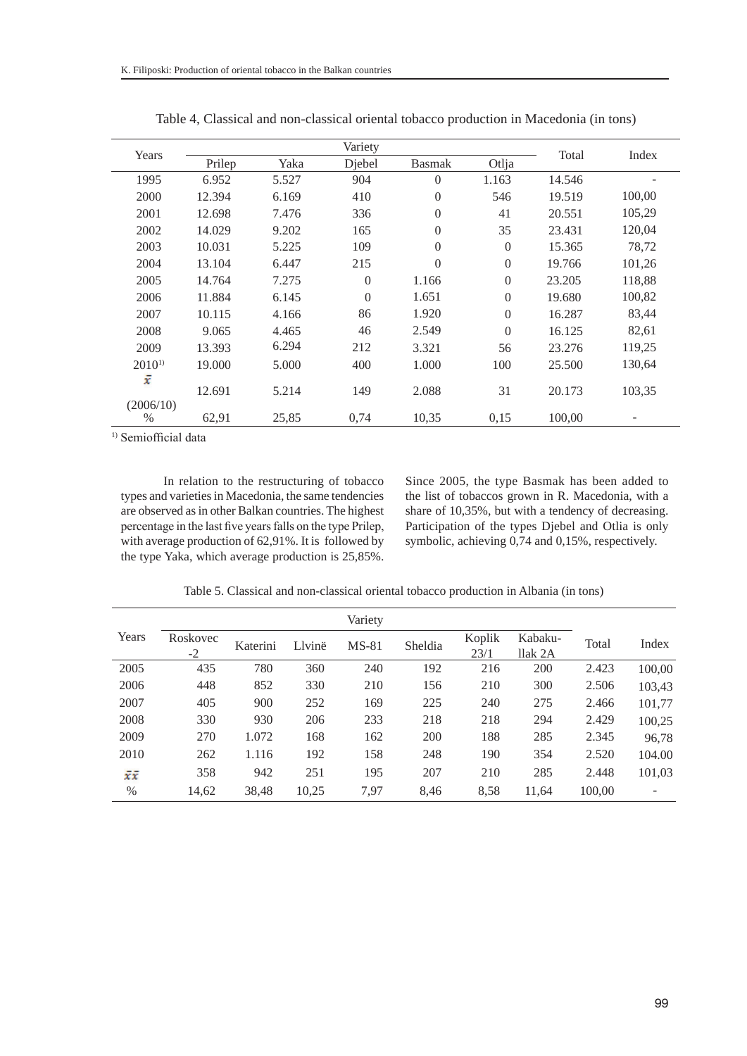| Years          |        |       | Total    |                |                |        |        |  |
|----------------|--------|-------|----------|----------------|----------------|--------|--------|--|
|                | Prilep | Yaka  | Djebel   | <b>Basmak</b>  | Otlja          |        | Index  |  |
| 1995           | 6.952  | 5.527 | 904      | $\Omega$       | 1.163          | 14.546 |        |  |
| 2000           | 12.394 | 6.169 | 410      | $\overline{0}$ | 546            | 19.519 | 100,00 |  |
| 2001           | 12.698 | 7.476 | 336      | $\Omega$       | 41             | 20.551 | 105,29 |  |
| 2002           | 14.029 | 9.202 | 165      | $\Omega$       | 35             | 23.431 | 120,04 |  |
| 2003           | 10.031 | 5.225 | 109      | $\Omega$       | $\overline{0}$ | 15.365 | 78,72  |  |
| 2004           | 13.104 | 6.447 | 215      | $\Omega$       | $\mathbf{0}$   | 19.766 | 101,26 |  |
| 2005           | 14.764 | 7.275 | $\Omega$ | 1.166          | $\mathbf{0}$   | 23.205 | 118,88 |  |
| 2006           | 11.884 | 6.145 | $\Omega$ | 1.651          | $\mathbf{0}$   | 19.680 | 100,82 |  |
| 2007           | 10.115 | 4.166 | 86       | 1.920          | $\mathbf{0}$   | 16.287 | 83,44  |  |
| 2008           | 9.065  | 4.465 | 46       | 2.549          | $\mathbf{0}$   | 16.125 | 82,61  |  |
| 2009           | 13.393 | 6.294 | 212      | 3.321          | 56             | 23.276 | 119,25 |  |
| $2010^{1}$     | 19.000 | 5.000 | 400      | 1.000          | 100            | 25.500 | 130,64 |  |
| ž<br>(2006/10) | 12.691 | 5.214 | 149      | 2.088          | 31             | 20.173 | 103,35 |  |
| $\frac{0}{0}$  | 62,91  | 25,85 | 0,74     | 10,35          | 0,15           | 100,00 |        |  |

Table 4, Classical and non-classical oriental tobacco production in Macedonia (in tons)

<sup>1)</sup> Semiofficial data

In relation to the restructuring of tobacco types and varieties in Macedonia, the same tendencies are observed as in other Balkan countries. The highest percentage in the last five years falls on the type Prilep, with average production of 62,91%. It is followed by the type Yaka, which average production is 25,85%. Since 2005, the type Basmak has been added to the list of tobaccos grown in R. Macedonia, with a share of 10,35%, but with a tendency of decreasing. Participation of the types Djebel and Otlia is only symbolic, achieving 0,74 and 0,15%, respectively.

Table 5. Classical and non-classical oriental tobacco production in Albania (in tons)

|       |                  |          |        | Variety |         |                |                    |        |        |
|-------|------------------|----------|--------|---------|---------|----------------|--------------------|--------|--------|
| Years | Roskovec<br>$-2$ | Katerini | Llvinë | $MS-81$ | Sheldia | Koplik<br>23/1 | Kabaku-<br>llak 2A | Total  | Index  |
| 2005  | 435              | 780      | 360    | 240     | 192     | 216            | 200                | 2.423  | 100,00 |
| 2006  | 448              | 852      | 330    | 210     | 156     | 210            | 300                | 2.506  | 103,43 |
| 2007  | 405              | 900      | 252    | 169     | 225     | 240            | 275                | 2.466  | 101,77 |
| 2008  | 330              | 930      | 206    | 233     | 218     | 218            | 294                | 2.429  | 100,25 |
| 2009  | 270              | 1.072    | 168    | 162     | 200     | 188            | 285                | 2.345  | 96,78  |
| 2010  | 262              | 1.116    | 192    | 158     | 248     | 190            | 354                | 2.520  | 104.00 |
| īī    | 358              | 942      | 251    | 195     | 207     | 210            | 285                | 2.448  | 101,03 |
| $\%$  | 14,62            | 38,48    | 10.25  | 7.97    | 8.46    | 8,58           | 11.64              | 100.00 |        |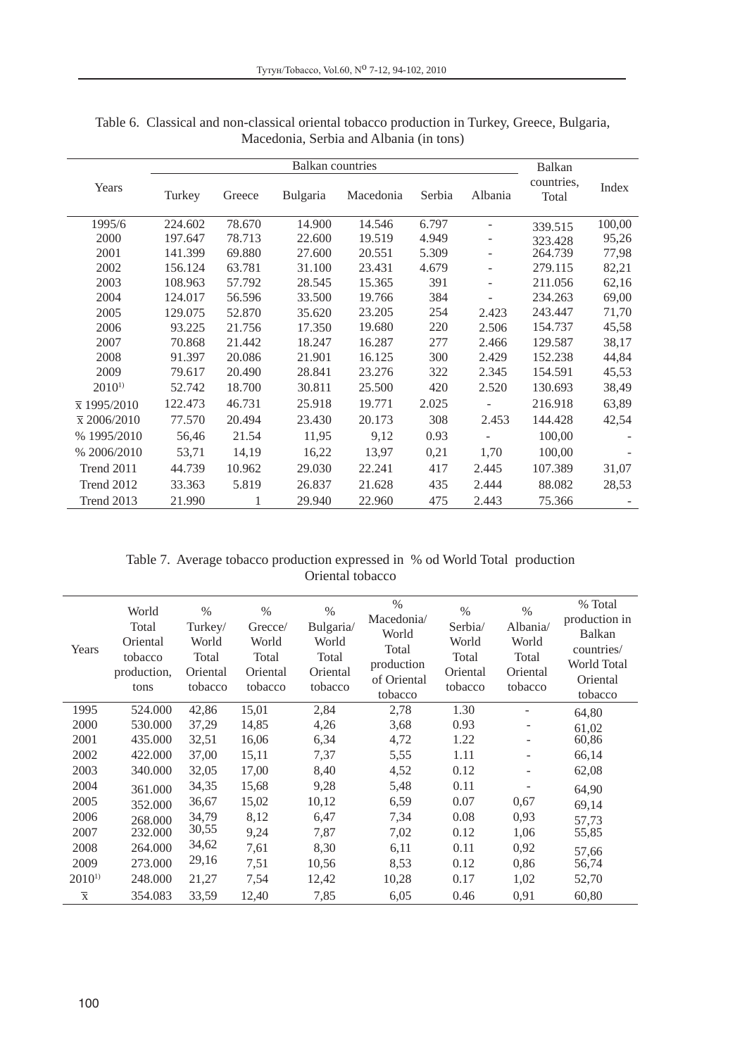|                     |         | Balkan |          |           |        |                          |                     |        |
|---------------------|---------|--------|----------|-----------|--------|--------------------------|---------------------|--------|
| Years               | Turkey  | Greece | Bulgaria | Macedonia | Serbia | Albania                  | countries,<br>Total | Index  |
| 1995/6              | 224.602 | 78.670 | 14.900   | 14.546    | 6.797  |                          | 339.515             | 100,00 |
| 2000                | 197.647 | 78.713 | 22.600   | 19.519    | 4.949  |                          | 323.428             | 95,26  |
| 2001                | 141.399 | 69.880 | 27.600   | 20.551    | 5.309  |                          | 264.739             | 77,98  |
| 2002                | 156.124 | 63.781 | 31.100   | 23.431    | 4.679  | ۰                        | 279.115             | 82,21  |
| 2003                | 108.963 | 57.792 | 28.545   | 15.365    | 391    | $\overline{\phantom{a}}$ | 211.056             | 62,16  |
| 2004                | 124.017 | 56.596 | 33.500   | 19.766    | 384    |                          | 234.263             | 69,00  |
| 2005                | 129.075 | 52.870 | 35.620   | 23.205    | 254    | 2.423                    | 243.447             | 71,70  |
| 2006                | 93.225  | 21.756 | 17.350   | 19.680    | 220    | 2.506                    | 154.737             | 45,58  |
| 2007                | 70.868  | 21.442 | 18.247   | 16.287    | 277    | 2.466                    | 129.587             | 38,17  |
| 2008                | 91.397  | 20.086 | 21.901   | 16.125    | 300    | 2.429                    | 152.238             | 44,84  |
| 2009                | 79.617  | 20.490 | 28.841   | 23.276    | 322    | 2.345                    | 154.591             | 45,53  |
| $2010^{1}$          | 52.742  | 18.700 | 30.811   | 25.500    | 420    | 2.520                    | 130.693             | 38,49  |
| $\bar{x}$ 1995/2010 | 122.473 | 46.731 | 25.918   | 19.771    | 2.025  |                          | 216.918             | 63,89  |
| $\bar{x}$ 2006/2010 | 77.570  | 20.494 | 23.430   | 20.173    | 308    | 2.453                    | 144.428             | 42,54  |
| % 1995/2010         | 56,46   | 21.54  | 11,95    | 9,12      | 0.93   |                          | 100,00              |        |
| % 2006/2010         | 53,71   | 14,19  | 16,22    | 13,97     | 0,21   | 1,70                     | 100,00              |        |
| Trend 2011          | 44.739  | 10.962 | 29.030   | 22.241    | 417    | 2.445                    | 107.389             | 31,07  |
| Trend 2012          | 33.363  | 5.819  | 26.837   | 21.628    | 435    | 2.444                    | 88.082              | 28,53  |
| Trend 2013          | 21.990  | 1      | 29.940   | 22.960    | 475    | 2.443                    | 75.366              |        |

Table 6. Classical and non-classical oriental tobacco production in Turkey, Greece, Bulgaria, Macedonia, Serbia and Albania (in tons)

Table 7. Average tobacco production expressed in % od World Total production Oriental tobacco

| Years                   | World<br>Total<br>Oriental<br>tobacco<br>production,<br>tons | $\%$<br>Turkey/<br>World<br>Total<br>Oriental<br>tobacco | $\frac{0}{0}$<br>Grecce/<br>World<br>Total<br>Oriental<br>tobacco | $\%$<br>Bulgaria<br>World<br>Total<br>Oriental<br>tobacco | $\frac{0}{0}$<br>Macedonia/<br>World<br>Total<br>production<br>of Oriental<br>tobacco | $\%$<br>Serbia/<br>World<br>Total<br>Oriental<br>tobacco | $\frac{0}{0}$<br>Albania/<br>World<br>Total<br>Oriental<br>tobacco | % Total<br>production in<br><b>Balkan</b><br>countries/<br><b>World Total</b><br>Oriental<br>tobacco |
|-------------------------|--------------------------------------------------------------|----------------------------------------------------------|-------------------------------------------------------------------|-----------------------------------------------------------|---------------------------------------------------------------------------------------|----------------------------------------------------------|--------------------------------------------------------------------|------------------------------------------------------------------------------------------------------|
| 1995                    | 524.000                                                      | 42,86                                                    | 15,01                                                             | 2,84                                                      | 2,78                                                                                  | 1.30                                                     |                                                                    | 64,80                                                                                                |
| 2000                    | 530,000                                                      | 37,29                                                    | 14,85                                                             | 4,26                                                      | 3.68                                                                                  | 0.93                                                     |                                                                    | 61,02                                                                                                |
| 2001                    | 435.000                                                      | 32,51                                                    | 16,06                                                             | 6,34                                                      | 4,72                                                                                  | 1.22                                                     | -                                                                  | 60,86                                                                                                |
| 2002                    | 422,000                                                      | 37,00                                                    | 15,11                                                             | 7,37                                                      | 5,55                                                                                  | 1.11                                                     | -                                                                  | 66,14                                                                                                |
| 2003                    | 340,000                                                      | 32,05                                                    | 17,00                                                             | 8,40                                                      | 4,52                                                                                  | 0.12                                                     | $\overline{\phantom{0}}$                                           | 62,08                                                                                                |
| 2004                    | 361.000                                                      | 34,35                                                    | 15,68                                                             | 9,28                                                      | 5,48                                                                                  | 0.11                                                     | ۰                                                                  | 64,90                                                                                                |
| 2005                    | 352.000                                                      | 36,67                                                    | 15,02                                                             | 10,12                                                     | 6,59                                                                                  | 0.07                                                     | 0,67                                                               | 69,14                                                                                                |
| 2006                    | 268.000                                                      | 34,79                                                    | 8,12                                                              | 6,47                                                      | 7,34                                                                                  | 0.08                                                     | 0.93                                                               | 57,73                                                                                                |
| 2007                    | 232,000                                                      | 30,55                                                    | 9,24                                                              | 7,87                                                      | 7,02                                                                                  | 0.12                                                     | 1,06                                                               | 55,85                                                                                                |
| 2008                    | 264.000                                                      | 34,62                                                    | 7,61                                                              | 8.30                                                      | 6,11                                                                                  | 0.11                                                     | 0.92                                                               | 57,66                                                                                                |
| 2009                    | 273.000                                                      | 29,16                                                    | 7,51                                                              | 10,56                                                     | 8.53                                                                                  | 0.12                                                     | 0.86                                                               | 56,74                                                                                                |
| $2010^{1}$              | 248,000                                                      | 21,27                                                    | 7.54                                                              | 12,42                                                     | 10,28                                                                                 | 0.17                                                     | 1,02                                                               | 52,70                                                                                                |
| $\overline{\mathbf{x}}$ | 354.083                                                      | 33,59                                                    | 12,40                                                             | 7,85                                                      | 6,05                                                                                  | 0.46                                                     | 0.91                                                               | 60,80                                                                                                |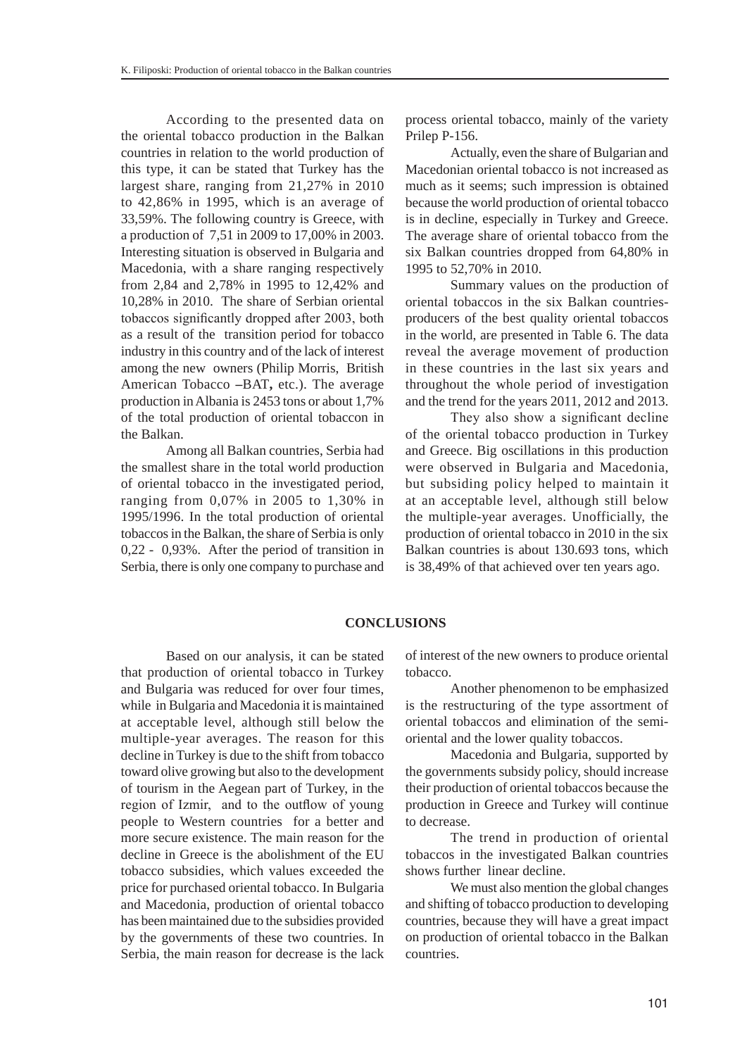According to the presented data on the oriental tobacco production in the Balkan countries in relation to the world production of this type, it can be stated that Turkey has the largest share, ranging from 21,27% in 2010 to 42,86% in 1995, which is an average of 33,59%. The following country is Greece, with a production of 7,51 in 2009 to 17,00% in 2003. Interesting situation is observed in Bulgaria and Macedonia, with a share ranging respectively from 2,84 and 2,78% in 1995 to 12,42% and 10,28% in 2010. The share of Serbian oriental tobaccos significantly dropped after 2003, both as a result of the transition period for tobacco industry in this country and of the lack of interest among the new owners (Philip Morris, British American Tobacco **–**BAT**,** etc.). The average production in Albania is 2453 tons or about 1,7% of the total production of oriental tobaccon in the Balkan.

Among all Balkan countries, Serbia had the smallest share in the total world production of oriental tobacco in the investigated period, ranging from 0,07% in 2005 to 1,30% in 1995/1996. In the total production of oriental tobaccos in the Balkan, the share of Serbia is only 0,22 - 0,93%. After the period of transition in Serbia, there is only one company to purchase and process oriental tobacco, mainly of the variety Prilep P-156.

Actually, even the share of Bulgarian and Macedonian oriental tobacco is not increased as much as it seems; such impression is obtained because the world production of oriental tobacco is in decline, especially in Turkey and Greece. The average share of oriental tobacco from the six Balkan countries dropped from 64,80% in 1995 to 52,70% in 2010.

Summary values on the production of oriental tobaccos in the six Balkan countriesproducers of the best quality oriental tobaccos in the world, are presented in Table 6. The data reveal the average movement of production in these countries in the last six years and throughout the whole period of investigation and the trend for the years 2011, 2012 and 2013.

They also show a significant decline of the oriental tobacco production in Turkey and Greece. Big oscillations in this production were observed in Bulgaria and Macedonia, but subsiding policy helped to maintain it at an acceptable level, although still below the multiple-year averages. Unofficially, the production of oriental tobacco in 2010 in the six Balkan countries is about 130.693 tons, which is 38,49% of that achieved over ten years ago.

### **CONCLUSIONS**

Based on our analysis, it can be stated that production of oriental tobacco in Turkey and Bulgaria was reduced for over four times, while in Bulgaria and Macedonia it is maintained at acceptable level, although still below the multiple-year averages. The reason for this decline in Turkey is due to the shift from tobacco toward olive growing but also to the development of tourism in the Aegean part of Turkey, in the region of Izmir, and to the outflow of young people to Western countries for a better and more secure existence. The main reason for the decline in Greece is the abolishment of the EU tobacco subsidies, which values exceeded the price for purchased oriental tobacco. In Bulgaria and Macedonia, production of oriental tobacco has been maintained due to the subsidies provided by the governments of these two countries. In Serbia, the main reason for decrease is the lack of interest of the new owners to produce oriental tobacco.

Another phenomenon to be emphasized is the restructuring of the type assortment of oriental tobaccos and elimination of the semioriental and the lower quality tobaccos.

Macedonia and Bulgaria, supported by the governments subsidy policy, should increase their production of oriental tobaccos because the production in Greece and Turkey will continue to decrease.

The trend in production of oriental tobaccos in the investigated Balkan countries shows further linear decline.

We must also mention the global changes and shifting of tobacco production to developing countries, because they will have a great impact on production of oriental tobacco in the Balkan countries.